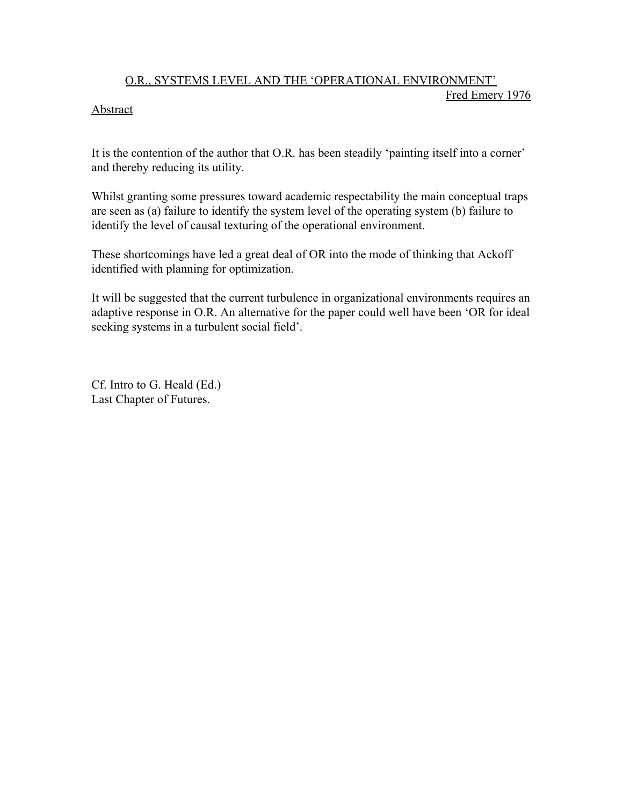## O.R., SYSTEMS LEVEL AND THE 'OPERATIONAL ENVIRONMENT' Fred Emery 1976

## Abstract

It is the contention of the author that O.R. has been steadily 'painting itself into a corner' and thereby reducing its utility.

Whilst granting some pressures toward academic respectability the main conceptual traps are seen as (a) failure to identify the system level of the operating system (b) failure to identify the level of causal texturing of the operational environment.

These shortcomings have led a great deal of OR into the mode of thinking that Ackoff identified with planning for optimization.

It will be suggested that the current turbulence in organizational environments requires an adaptive response in O.R. An alternative for the paper could well have been 'OR for ideal seeking systems in a turbulent social field'.

Cf. Intro to G. Heald (Ed.) Last Chapter of Futures.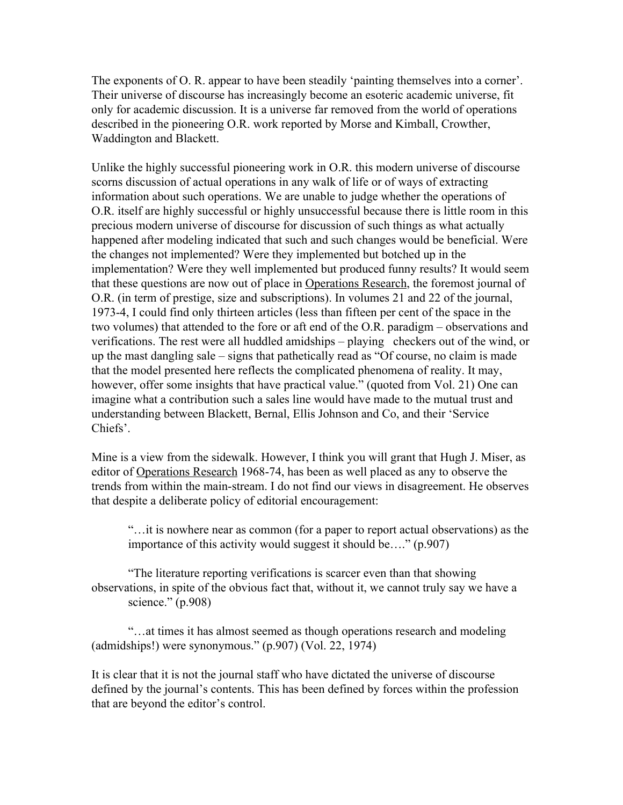The exponents of O. R. appear to have been steadily 'painting themselves into a corner'. Their universe of discourse has increasingly become an esoteric academic universe, fit only for academic discussion. It is a universe far removed from the world of operations described in the pioneering O.R. work reported by Morse and Kimball, Crowther, Waddington and Blackett.

Unlike the highly successful pioneering work in O.R. this modern universe of discourse scorns discussion of actual operations in any walk of life or of ways of extracting information about such operations. We are unable to judge whether the operations of O.R. itself are highly successful or highly unsuccessful because there is little room in this precious modern universe of discourse for discussion of such things as what actually happened after modeling indicated that such and such changes would be beneficial. Were the changes not implemented? Were they implemented but botched up in the implementation? Were they well implemented but produced funny results? It would seem that these questions are now out of place in Operations Research, the foremost journal of O.R. (in term of prestige, size and subscriptions). In volumes 21 and 22 of the journal, 1973-4, I could find only thirteen articles (less than fifteen per cent of the space in the two volumes) that attended to the fore or aft end of the O.R. paradigm – observations and verifications. The rest were all huddled amidships – playing checkers out of the wind, or up the mast dangling sale – signs that pathetically read as "Of course, no claim is made that the model presented here reflects the complicated phenomena of reality. It may, however, offer some insights that have practical value." (quoted from Vol. 21) One can imagine what a contribution such a sales line would have made to the mutual trust and understanding between Blackett, Bernal, Ellis Johnson and Co, and their 'Service Chiefs'.

Mine is a view from the sidewalk. However, I think you will grant that Hugh J. Miser, as editor of Operations Research 1968-74, has been as well placed as any to observe the trends from within the main-stream. I do not find our views in disagreement. He observes that despite a deliberate policy of editorial encouragement:

"…it is nowhere near as common (for a paper to report actual observations) as the importance of this activity would suggest it should be…." (p.907)

"The literature reporting verifications is scarcer even than that showing observations, in spite of the obvious fact that, without it, we cannot truly say we have a science." (p.908)

"…at times it has almost seemed as though operations research and modeling (admidships!) were synonymous." (p.907) (Vol. 22, 1974)

It is clear that it is not the journal staff who have dictated the universe of discourse defined by the journal's contents. This has been defined by forces within the profession that are beyond the editor's control.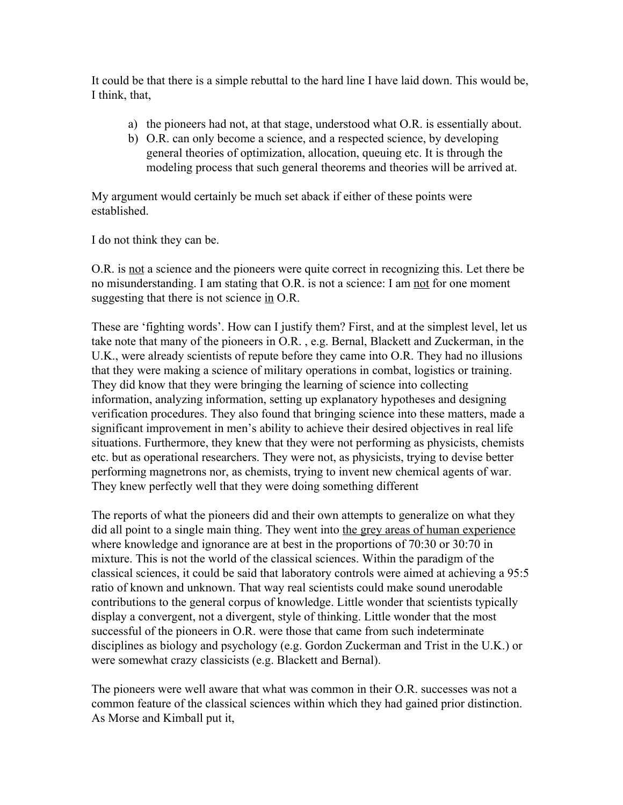It could be that there is a simple rebuttal to the hard line I have laid down. This would be, I think, that,

- a) the pioneers had not, at that stage, understood what O.R. is essentially about.
- b) O.R. can only become a science, and a respected science, by developing general theories of optimization, allocation, queuing etc. It is through the modeling process that such general theorems and theories will be arrived at.

My argument would certainly be much set aback if either of these points were established.

I do not think they can be.

O.R. is not a science and the pioneers were quite correct in recognizing this. Let there be no misunderstanding. I am stating that O.R. is not a science: I am not for one moment suggesting that there is not science in O.R.

These are 'fighting words'. How can I justify them? First, and at the simplest level, let us take note that many of the pioneers in O.R. , e.g. Bernal, Blackett and Zuckerman, in the U.K., were already scientists of repute before they came into O.R. They had no illusions that they were making a science of military operations in combat, logistics or training. They did know that they were bringing the learning of science into collecting information, analyzing information, setting up explanatory hypotheses and designing verification procedures. They also found that bringing science into these matters, made a significant improvement in men's ability to achieve their desired objectives in real life situations. Furthermore, they knew that they were not performing as physicists, chemists etc. but as operational researchers. They were not, as physicists, trying to devise better performing magnetrons nor, as chemists, trying to invent new chemical agents of war. They knew perfectly well that they were doing something different

The reports of what the pioneers did and their own attempts to generalize on what they did all point to a single main thing. They went into the grey areas of human experience where knowledge and ignorance are at best in the proportions of 70:30 or 30:70 in mixture. This is not the world of the classical sciences. Within the paradigm of the classical sciences, it could be said that laboratory controls were aimed at achieving a 95:5 ratio of known and unknown. That way real scientists could make sound unerodable contributions to the general corpus of knowledge. Little wonder that scientists typically display a convergent, not a divergent, style of thinking. Little wonder that the most successful of the pioneers in O.R. were those that came from such indeterminate disciplines as biology and psychology (e.g. Gordon Zuckerman and Trist in the U.K.) or were somewhat crazy classicists (e.g. Blackett and Bernal).

The pioneers were well aware that what was common in their O.R. successes was not a common feature of the classical sciences within which they had gained prior distinction. As Morse and Kimball put it,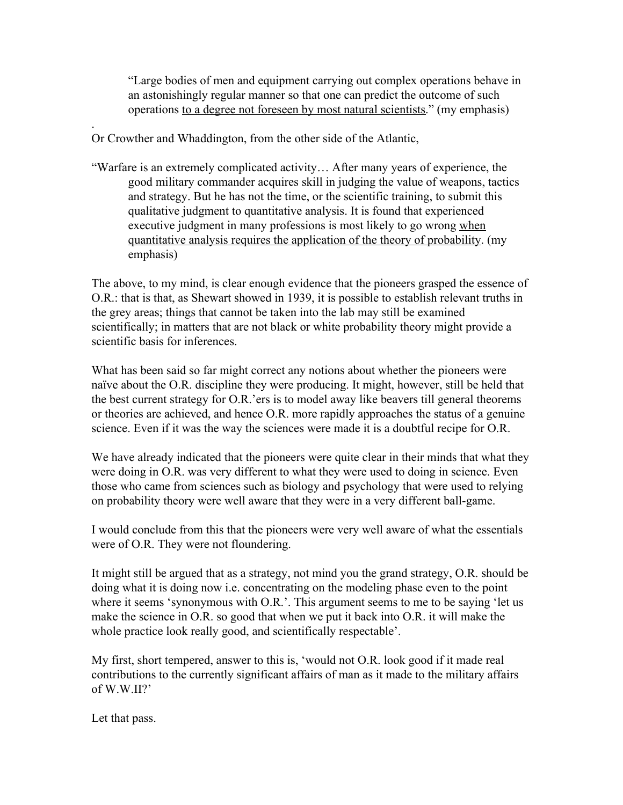"Large bodies of men and equipment carrying out complex operations behave in an astonishingly regular manner so that one can predict the outcome of such operations to a degree not foreseen by most natural scientists." (my emphasis)

Or Crowther and Whaddington, from the other side of the Atlantic,

"Warfare is an extremely complicated activity… After many years of experience, the good military commander acquires skill in judging the value of weapons, tactics and strategy. But he has not the time, or the scientific training, to submit this qualitative judgment to quantitative analysis. It is found that experienced executive judgment in many professions is most likely to go wrong when quantitative analysis requires the application of the theory of probability. (my emphasis)

The above, to my mind, is clear enough evidence that the pioneers grasped the essence of O.R.: that is that, as Shewart showed in 1939, it is possible to establish relevant truths in the grey areas; things that cannot be taken into the lab may still be examined scientifically; in matters that are not black or white probability theory might provide a scientific basis for inferences.

What has been said so far might correct any notions about whether the pioneers were naïve about the O.R. discipline they were producing. It might, however, still be held that the best current strategy for O.R.'ers is to model away like beavers till general theorems or theories are achieved, and hence O.R. more rapidly approaches the status of a genuine science. Even if it was the way the sciences were made it is a doubtful recipe for O.R.

We have already indicated that the pioneers were quite clear in their minds that what they were doing in O.R. was very different to what they were used to doing in science. Even those who came from sciences such as biology and psychology that were used to relying on probability theory were well aware that they were in a very different ball-game.

I would conclude from this that the pioneers were very well aware of what the essentials were of O.R. They were not floundering.

It might still be argued that as a strategy, not mind you the grand strategy, O.R. should be doing what it is doing now i.e. concentrating on the modeling phase even to the point where it seems 'synonymous with O.R.'. This argument seems to me to be saying 'let us make the science in O.R. so good that when we put it back into O.R. it will make the whole practice look really good, and scientifically respectable'.

My first, short tempered, answer to this is, 'would not O.R. look good if it made real contributions to the currently significant affairs of man as it made to the military affairs of W.W.II?'

Let that pass.

.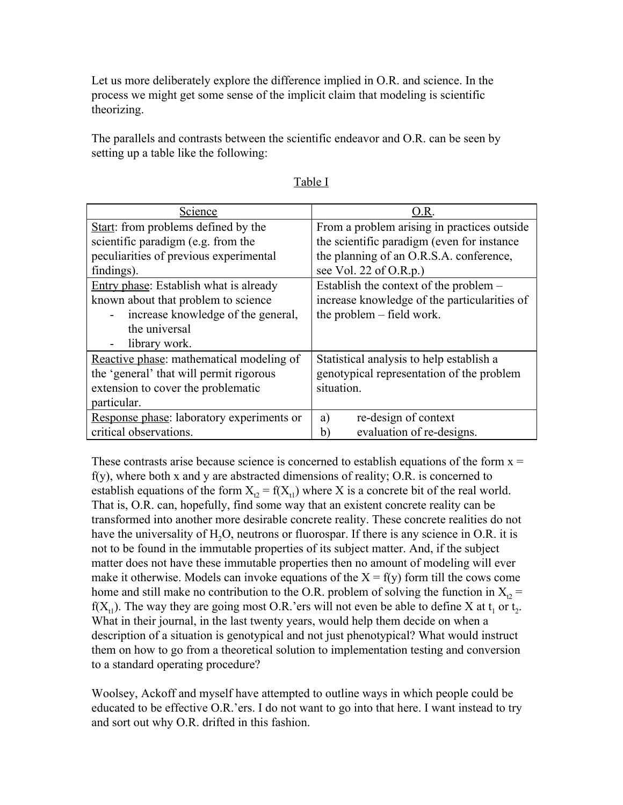Let us more deliberately explore the difference implied in O.R. and science. In the process we might get some sense of the implicit claim that modeling is scientific theorizing.

The parallels and contrasts between the scientific endeavor and O.R. can be seen by setting up a table like the following:

| Science                                   | O.R                                          |
|-------------------------------------------|----------------------------------------------|
| Start: from problems defined by the       | From a problem arising in practices outside  |
| scientific paradigm (e.g. from the        | the scientific paradigm (even for instance)  |
| peculiarities of previous experimental    | the planning of an O.R.S.A. conference,      |
| findings).                                | see Vol. 22 of O.R.p.)                       |
| Entry phase: Establish what is already    | Establish the context of the problem –       |
| known about that problem to science       | increase knowledge of the particularities of |
| increase knowledge of the general,        | the problem – field work.                    |
| the universal                             |                                              |
| library work.                             |                                              |
| Reactive phase: mathematical modeling of  | Statistical analysis to help establish a     |
| the 'general' that will permit rigorous   | genotypical representation of the problem    |
| extension to cover the problematic        | situation.                                   |
| particular.                               |                                              |
| Response phase: laboratory experiments or | re-design of context<br>a)                   |
| critical observations.                    | evaluation of re-designs.<br>b)              |

These contrasts arise because science is concerned to establish equations of the form  $x =$ f(y), where both x and y are abstracted dimensions of reality; O.R. is concerned to establish equations of the form  $X_{t2} = f(X_{t1})$  where X is a concrete bit of the real world. That is, O.R. can, hopefully, find some way that an existent concrete reality can be transformed into another more desirable concrete reality. These concrete realities do not have the universality of  $H<sub>2</sub>O$ , neutrons or fluorospar. If there is any science in O.R. it is not to be found in the immutable properties of its subject matter. And, if the subject matter does not have these immutable properties then no amount of modeling will ever make it otherwise. Models can invoke equations of the  $X = f(y)$  form till the cows come home and still make no contribution to the O.R. problem of solving the function in  $X_2$  =  $f(X_{t_1})$ . The way they are going most O.R.'ers will not even be able to define X at  $t_1$  or  $t_2$ . What in their journal, in the last twenty years, would help them decide on when a description of a situation is genotypical and not just phenotypical? What would instruct them on how to go from a theoretical solution to implementation testing and conversion to a standard operating procedure?

Woolsey, Ackoff and myself have attempted to outline ways in which people could be educated to be effective O.R.'ers. I do not want to go into that here. I want instead to try and sort out why O.R. drifted in this fashion.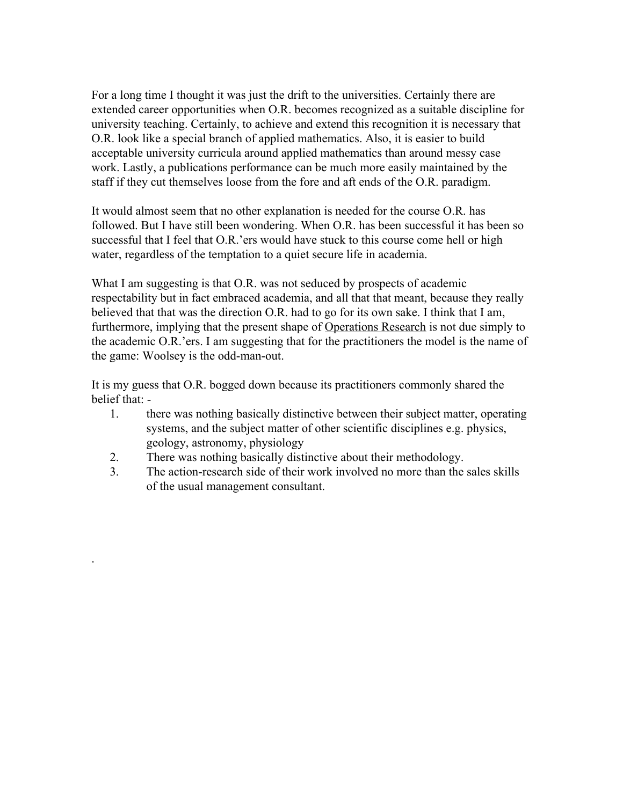For a long time I thought it was just the drift to the universities. Certainly there are extended career opportunities when O.R. becomes recognized as a suitable discipline for university teaching. Certainly, to achieve and extend this recognition it is necessary that O.R. look like a special branch of applied mathematics. Also, it is easier to build acceptable university curricula around applied mathematics than around messy case work. Lastly, a publications performance can be much more easily maintained by the staff if they cut themselves loose from the fore and aft ends of the O.R. paradigm.

It would almost seem that no other explanation is needed for the course O.R. has followed. But I have still been wondering. When O.R. has been successful it has been so successful that I feel that O.R.'ers would have stuck to this course come hell or high water, regardless of the temptation to a quiet secure life in academia.

What I am suggesting is that O.R. was not seduced by prospects of academic respectability but in fact embraced academia, and all that that meant, because they really believed that that was the direction O.R. had to go for its own sake. I think that I am, furthermore, implying that the present shape of Operations Research is not due simply to the academic O.R.'ers. I am suggesting that for the practitioners the model is the name of the game: Woolsey is the odd-man-out.

It is my guess that O.R. bogged down because its practitioners commonly shared the belief that: -

- 1. there was nothing basically distinctive between their subject matter, operating systems, and the subject matter of other scientific disciplines e.g. physics, geology, astronomy, physiology
- 2. There was nothing basically distinctive about their methodology.

.

3. The action-research side of their work involved no more than the sales skills of the usual management consultant.